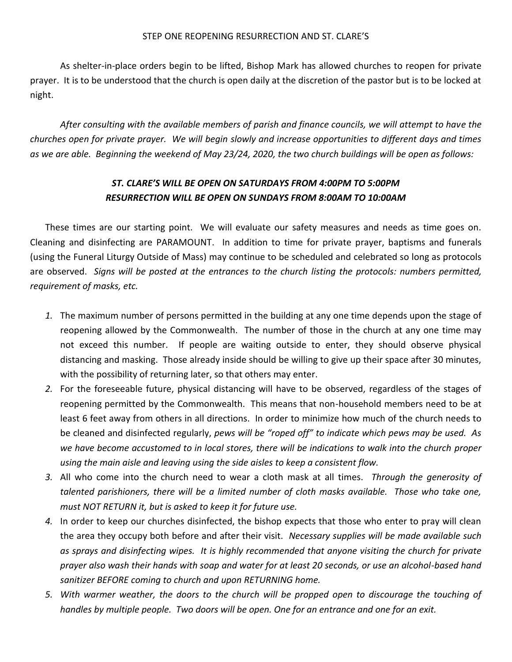## STEP ONE REOPENING RESURRECTION AND ST. CLARE'S

As shelter-in-place orders begin to be lifted, Bishop Mark has allowed churches to reopen for private prayer. It is to be understood that the church is open daily at the discretion of the pastor but is to be locked at night.

*After consulting with the available members of parish and finance councils, we will attempt to have the churches open for private prayer. We will begin slowly and increase opportunities to different days and times as we are able. Beginning the weekend of May 23/24, 2020, the two church buildings will be open as follows:*

## *ST. CLARE'S WILL BE OPEN ON SATURDAYS FROM 4:00PM TO 5:00PM RESURRECTION WILL BE OPEN ON SUNDAYS FROM 8:00AM TO 10:00AM*

These times are our starting point. We will evaluate our safety measures and needs as time goes on. Cleaning and disinfecting are PARAMOUNT. In addition to time for private prayer, baptisms and funerals (using the Funeral Liturgy Outside of Mass) may continue to be scheduled and celebrated so long as protocols are observed. *Signs will be posted at the entrances to the church listing the protocols: numbers permitted, requirement of masks, etc.*

- *1.* The maximum number of persons permitted in the building at any one time depends upon the stage of reopening allowed by the Commonwealth. The number of those in the church at any one time may not exceed this number. If people are waiting outside to enter, they should observe physical distancing and masking. Those already inside should be willing to give up their space after 30 minutes, with the possibility of returning later, so that others may enter.
- *2.* For the foreseeable future, physical distancing will have to be observed, regardless of the stages of reopening permitted by the Commonwealth. This means that non-household members need to be at least 6 feet away from others in all directions. In order to minimize how much of the church needs to be cleaned and disinfected regularly, *pews will be "roped off" to indicate which pews may be used. As we have become accustomed to in local stores, there will be indications to walk into the church proper using the main aisle and leaving using the side aisles to keep a consistent flow.*
- *3.* All who come into the church need to wear a cloth mask at all times. *Through the generosity of talented parishioners, there will be a limited number of cloth masks available. Those who take one, must NOT RETURN it, but is asked to keep it for future use.*
- *4.* In order to keep our churches disinfected, the bishop expects that those who enter to pray will clean the area they occupy both before and after their visit. *Necessary supplies will be made available such as sprays and disinfecting wipes. It is highly recommended that anyone visiting the church for private prayer also wash their hands with soap and water for at least 20 seconds, or use an alcohol-based hand sanitizer BEFORE coming to church and upon RETURNING home.*
- *5. With warmer weather, the doors to the church will be propped open to discourage the touching of handles by multiple people. Two doors will be open. One for an entrance and one for an exit.*